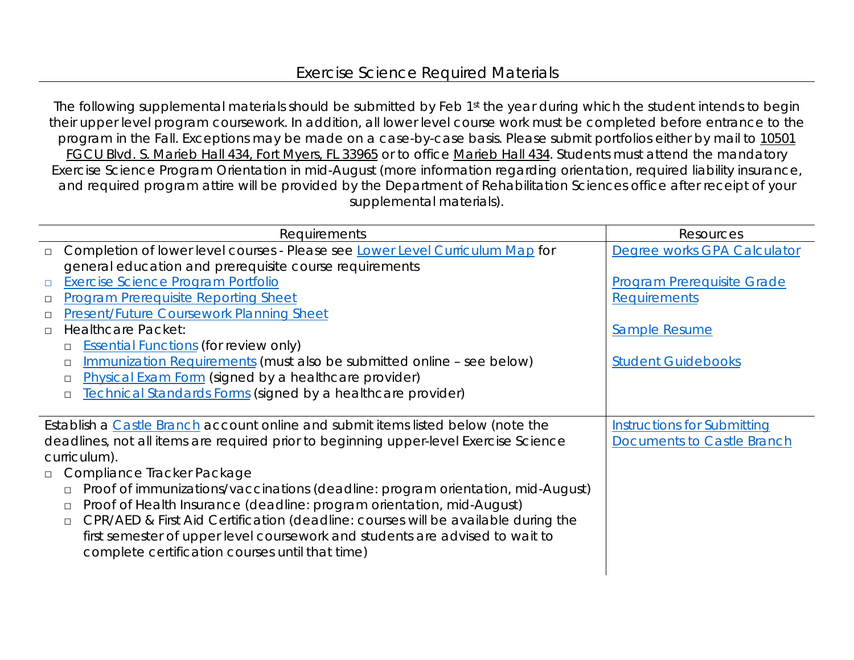## Exercise Science Required Materials

The following supplemental materials should be submitted by Feb 1st the year during which the student intends to begin their upper level program coursework. In addition, all lower level course work must be completed before entrance to the program in the Fall. Exceptions may be made on a case-by-case basis. Please submit portfolios either by mail to 10501 FGCU Blvd. S. Marieb Hall 434, Fort Myers, FL 33965 or to office Marieb Hall 434. Students must attend the mandatory Exercise Science Program Orientation in mid-August (more information regarding orientation, required liability insurance, and required program attire will be provided by the Department of Rehabilitation Sciences office after receipt of your supplemental materials).

|                                                                                       | Requirements                                                                      | Resources                          |
|---------------------------------------------------------------------------------------|-----------------------------------------------------------------------------------|------------------------------------|
| $\Box$                                                                                | Completion of lower level courses - Please see Lower Level Curriculum Map for     | Degree works GPA Calculator        |
|                                                                                       | general education and prerequisite course requirements                            |                                    |
| $\Box$                                                                                | <b>Exercise Science Program Portfolio</b>                                         | <b>Program Prerequisite Grade</b>  |
| $\Box$                                                                                | <b>Program Prerequisite Reporting Sheet</b>                                       | Requirements                       |
| □                                                                                     | <b>Present/Future Coursework Planning Sheet</b>                                   |                                    |
| $\Box$                                                                                | <b>Healthcare Packet:</b>                                                         | Sample Resume                      |
| $\Box$                                                                                | <b>Essential Functions (for review only)</b>                                      |                                    |
| П                                                                                     | Immunization Requirements (must also be submitted online - see below)             | <b>Student Guidebooks</b>          |
| $\Box$                                                                                | Physical Exam Form (signed by a healthcare provider)                              |                                    |
| $\Box$                                                                                | <b>Technical Standards Forms (signed by a healthcare provider)</b>                |                                    |
|                                                                                       |                                                                                   |                                    |
| Establish a Castle Branch account online and submit items listed below (note the      |                                                                                   | <b>Instructions for Submitting</b> |
| deadlines, not all items are required prior to beginning upper-level Exercise Science |                                                                                   | <b>Documents to Castle Branch</b>  |
| curriculum).                                                                          |                                                                                   |                                    |
|                                                                                       | □ Compliance Tracker Package                                                      |                                    |
| $\Box$                                                                                | Proof of immunizations/vaccinations (deadline: program orientation, mid-August)   |                                    |
| $\Box$                                                                                | Proof of Health Insurance (deadline: program orientation, mid-August)             |                                    |
| $\Box$                                                                                | CPR/AED & First Aid Certification (deadline: courses will be available during the |                                    |
|                                                                                       | first semester of upper level coursework and students are advised to wait to      |                                    |
|                                                                                       | complete certification courses until that time)                                   |                                    |
|                                                                                       |                                                                                   |                                    |